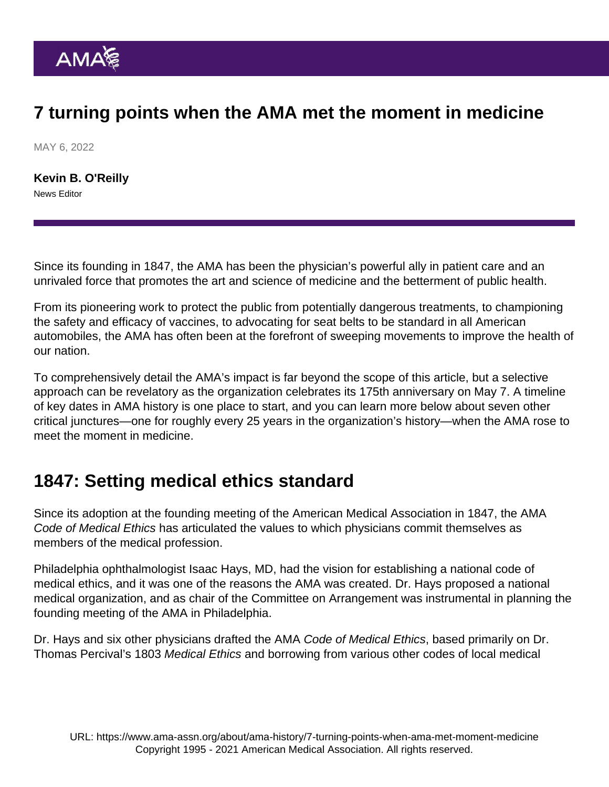# 7 turning points when the AMA met the moment in medicine

MAY 6, 2022

[Kevin B. O'Reilly](https://www.ama-assn.org/news-leadership-viewpoints/authors-news-leadership-viewpoints/kevin-b-oreilly) News Editor

Since its founding in 1847, the AMA has been the physician's powerful ally in patient care and an unrivaled force that promotes the art and science of medicine and the betterment of public health.

From its pioneering work to protect the public from potentially dangerous treatments, to championing the [safety and efficacy of vaccines,](https://www.ama-assn.org/delivering-care/public-health/covid-19-vaccines) to advocating for seat belts to be standard in all American automobiles, the AMA has often been at the forefront of sweeping movements to improve the health of our nation.

To comprehensively detail the AMA's impact is far beyond the scope of this article, but a selective approach can be revelatory as the [organization celebrates its 175th anniversary](https://www.ama-assn.org/about/ama-history/american-medical-associations-175th-anniversary) on May 7. A [timeline](https://www.ama-assn.org/about/ama-history/amas-175th-anniversary-key-dates-history) [of key dates in AMA history](https://www.ama-assn.org/about/ama-history/amas-175th-anniversary-key-dates-history) is one place to start, and you can learn more below about seven other critical junctures—one for roughly every 25 years in the organization's history—when the AMA rose to meet the moment in medicine.

## 1847: Setting medical ethics standard

Since its [adoption at the founding meeting](https://www.ama-assn.org/sites/ama-assn.org/files/corp/media-browser/public/ethics/ama-code-ethics-history.pdf) of the American Medical Association in 1847, the AMA [Code of Medical Ethics](https://www.ama-assn.org/delivering-care/ethics/code-medical-ethics-overview) has articulated the values to which physicians commit themselves as members of the medical profession.

Philadelphia ophthalmologist Isaac Hays, MD, had the vision for establishing a national code of medical ethics, and it was one of the reasons the AMA was created. Dr. Hays proposed a national medical organization, and as chair of the Committee on Arrangement was instrumental in planning the founding meeting of the AMA in Philadelphia.

Dr. Hays and six other physicians drafted the [AMA Code of Medical Ethics](https://www.ama-assn.org/delivering-care/ethics/code-medical-ethics-overview), based primarily on [Dr.](https://jamanetwork.com/journals/jamainternalmedicine/fullarticle/607518) [Thomas Percival's 1803 Medical Ethics](https://jamanetwork.com/journals/jamainternalmedicine/fullarticle/607518) and borrowing from various other codes of local medical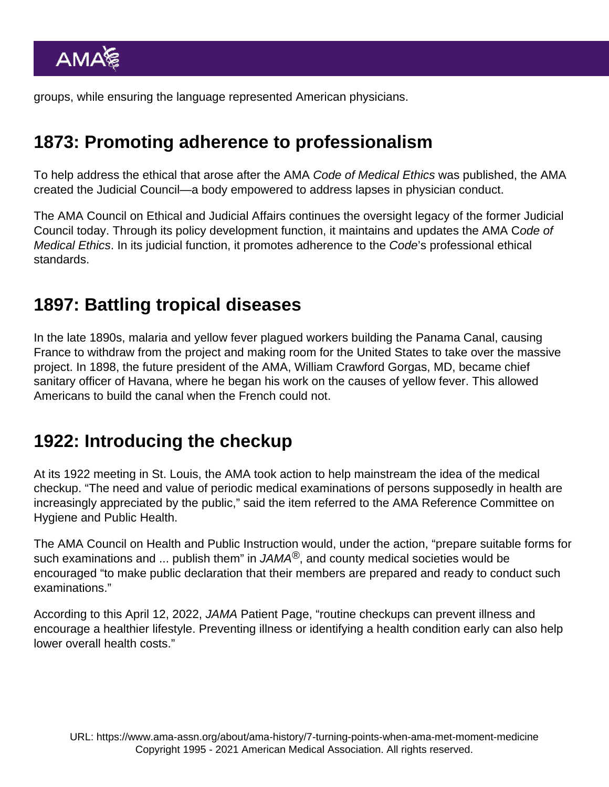groups, while ensuring the language represented American physicians.

## 1873: Promoting adherence to professionalism

To help address the ethical that arose after the AMA Code of Medical Ethics was published, the AMA created the Judicial Council—a body empowered to address lapses in physician conduct.

The [AMA Council on Ethical and Judicial Affairs](https://www.ama-assn.org/councils/council-ethical-judicial-affairs) continues the oversight legacy of the former Judicial Council today. Through its policy development function, it maintains and updates the AMA Code of Medical Ethics. In its [judicial function,](https://www.ama-assn.org/councils/council-ethical-judicial-affairs/judicial-function-council-ethical-judicial-affairs-ceja) it promotes adherence to the Code's professional ethical standards.

### 1897: Battling tropical diseases

In the late 1890s, [malaria and yellow fever](https://jamanetwork.com/journals/jama/fullarticle/368742) plagued workers building the Panama Canal, causing France to withdraw from the project and making room for the United States to take over the massive project. In 1898, the future president of the AMA, William Crawford Gorgas, MD, became chief sanitary officer of Havana, where he began his work on the causes of yellow fever. This allowed Americans to build the canal when the French could not.

#### 1922: Introducing the checkup

At its 1922 meeting in St. Louis, the AMA took action to help mainstream the idea of the medical checkup. "The need and value of periodic medical examinations of persons supposedly in health are increasingly appreciated by the public," said the item referred to the AMA Reference Committee on Hygiene and Public Health.

The AMA Council on Health and Public Instruction would, under the action, "prepare suitable forms for such examinations and ... publish them" in [JAMA](https://jamanetwork.com/journals/jama) $^{\circledR}$ , and county medical societies would be encouraged "to make public declaration that their members are prepared and ready to conduct such examinations."

According to this [April 12, 2022, JAMA Patient Page,](https://jamanetwork.com/journals/jama/fullarticle/2790936) "routine checkups can prevent illness and encourage a healthier lifestyle. Preventing illness or identifying a health condition early can also help lower overall health costs."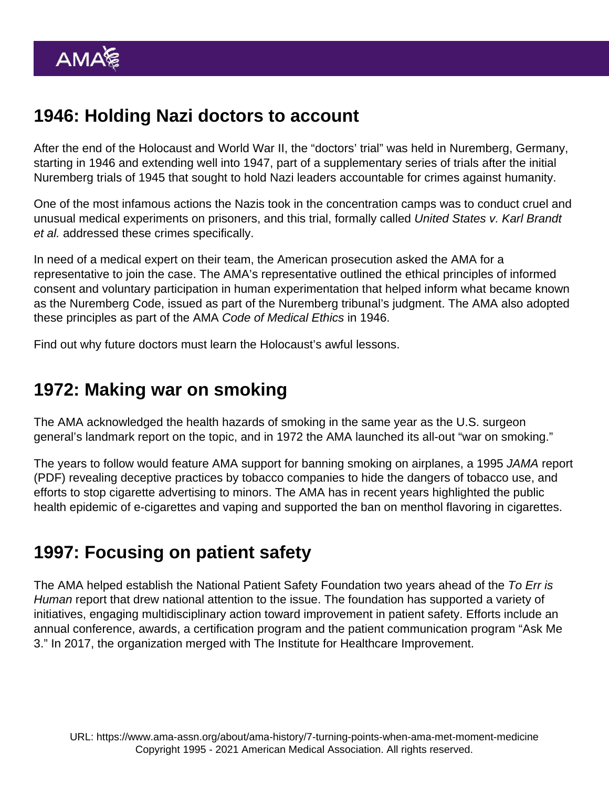# 1946: Holding Nazi doctors to account

After the end of the Holocaust and World War II, the "doctors' trial" was held in Nuremberg, Germany, starting in 1946 and extending well into 1947, part of a supplementary series of trials after the initial Nuremberg trials of 1945 that sought to hold Nazi leaders accountable for crimes against humanity.

One of the most infamous actions the Nazis took in the concentration camps was to conduct cruel and unusual medical experiments on prisoners, and this trial, formally called United States v. Karl Brandt et al. addressed these crimes specifically.

In need of a medical expert on their team, the American prosecution asked the AMA for a representative to join the case. The AMA's representative outlined the ethical principles of informed consent and voluntary participation in human experimentation that helped inform what became known as the Nuremberg Code, issued as part of the Nuremberg tribunal's judgment. The AMA also adopted these principles as part of the AMA Code of Medical Ethics in 1946.

Find out why [future doctors must learn the Holocaust's awful lessons.](https://www.ama-assn.org/education/accelerating-change-medical-education/qa-why-future-doctors-must-learn-holocaust-s-awful)

### 1972: Making war on smoking

The AMA acknowledged the health hazards of smoking in the same year as the [U.S. surgeon](https://jamanetwork.com/journals/jama/fullarticle/1812962) [general's landmark report](https://jamanetwork.com/journals/jama/fullarticle/1812962) on the topic, and in 1972 the AMA launched its all-out "war on smoking."

The years to follow would feature AMA support for banning smoking on airplanes, a [1995 JAMA report](https://jamanetwork.com/data/Journals/JAMA/9396/jama_274_3_032.pdf) (PDF) revealing deceptive practices by tobacco companies to hide the dangers of tobacco use, and efforts to stop cigarette advertising to minors. The AMA has in recent years highlighted the [public](https://www.ama-assn.org/delivering-care/public-health/e-cigarettes-and-vaping-public-health-epidemic) [health epidemic of e-cigarettes and vaping](https://www.ama-assn.org/delivering-care/public-health/e-cigarettes-and-vaping-public-health-epidemic) and supported the ban on [menthol flavoring in cigarettes](https://www.ama-assn.org/delivering-care/public-health/why-fda-s-move-ban-menthol-flavoring-long-overdue).

## 1997: Focusing on patient safety

The AMA helped establish the National Patient Safety Foundation two years ahead of the To Err is Human report that drew national attention to the issue. The foundation has supported a variety of initiatives, engaging multidisciplinary action toward improvement in patient safety. Efforts include an annual conference, awards, a certification program and the patient communication program "Ask Me 3." In 2017, the organization merged with The Institute for Healthcare Improvement.